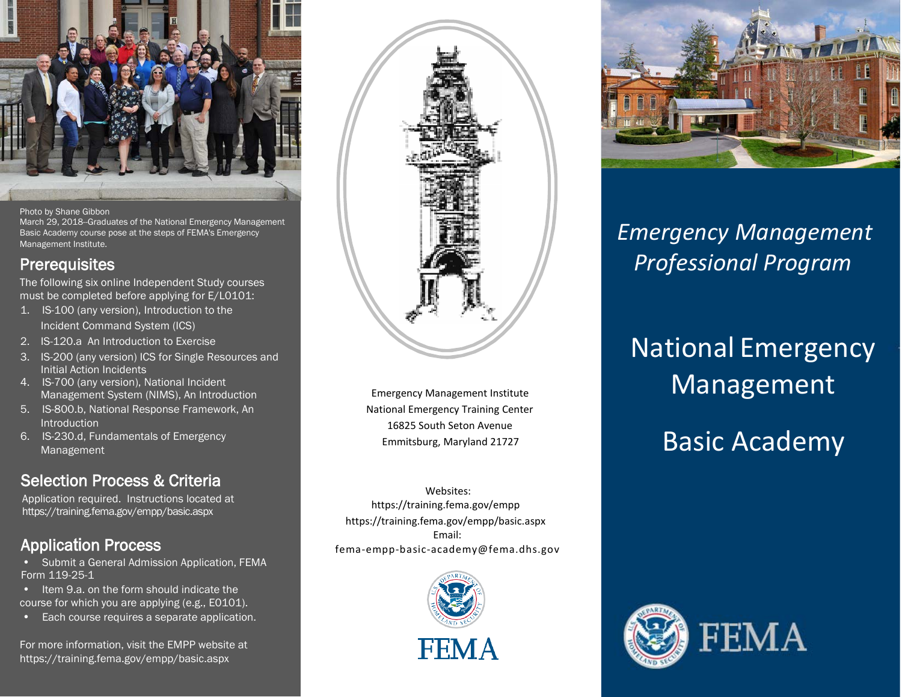

### Photo by Shane Gibbon

March 29, 2018--Graduates of the National Emergency Management Basic Academy course pose at the steps of FEMA's Emergency Management Institute.

**Prerequisites**<br>The following six online Independent Study courses must be completed before applying for E/L0101:

- 1. IS-100 (any version), Introduction to the Incident Command System (ICS)
- 2. IS-120.a An Introduction to Exercise
- 3. IS-200 (any version) ICS for Single Resources and Initial Action Incidents
- 4. IS-700 (any version), National Incident Management System (NIMS), An Introduction
- 5. IS-800.b, National Response Framework, An **Introduction**
- 6. IS-230.d, Fundamentals of Emergency Management

## **Selection Process & Criteria**<br>Application required. Instructions located at

https://training.fema.gov/empp/basic.aspx

Application Process<br>• Submit a General Admission Application, FEMA Form 119-25-1

• Item 9.a. on the form should indicate the course for which you are applying (e.g., E0101).

Each course requires a separate application.

For more information, visit the EMPP website at https://training.fema.gov/empp/basic.aspx



 Emergency Management Institute National Emergency Training Center 16825 South Seton Avenue Emmitsburg, Maryland 21727

 Websites: https://training.fema.gov/empp https://training.fema.gov/empp/basic.aspx Email: [fema-empp-basic-academy@fema.dhs.gov](mailto:fema-empp-basic-academy@fema.dhs.gov)





## *Emergency Management Professional Program*

# National Emergency Management

Basic Academy